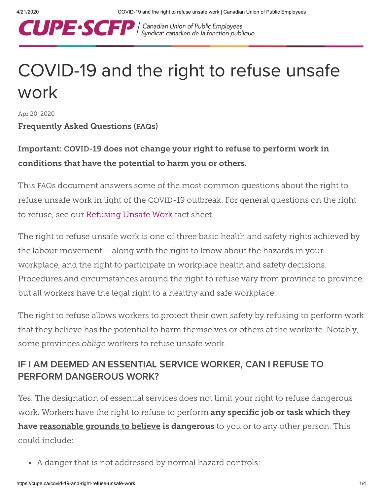

| Canadian Union of Public Employees<br>| Syndicat canadien de la fonction publique

# COVID-19 and the right to refuse unsafe work

Apr 20, 2020

#### Frequently Asked Questions (FAQs)

# Important: COVID-19 does not change your right to refuse to perform work in conditions that have the potential to harm you or others.

This FAQs document answers some of the most common questions about the right to refuse unsafe work in light of the COVID-19 outbreak. For general questions on the right to refuse, see our [Refusing](https://cupe.ca/sites/cupe/files/hs_refusing_unsafe_work_final_2_1.pdf) Unsafe Work fact sheet.

The right to refuse unsafe work is one of three basic health and safety rights achieved by the labour movement – along with the right to know about the hazards in your workplace, and the right to participate in workplace health and safety decisions. Procedures and circumstances around the right to refuse vary from province to province, but all workers have the legal right to a healthy and safe workplace.

The right to refuse allows workers to protect their own safety by refusing to perform work that they believe has the potential to harm themselves or others at the worksite. Notably, some provinces *oblige* workers to refuse unsafe work.

# IF I AM DEEMED AN ESSENTIAL SERVICE WORKER, CAN I REFUSE TO PERFORM DANGEROUS WORK?

Yes. The designation of essential services does not limit your right to refuse dangerous work. Workers have the right to refuse to perform any specific job or task which they have reasonable grounds to believe is dangerous to you or to any other person. This could include:

A danger that is not addressed by normal hazard controls;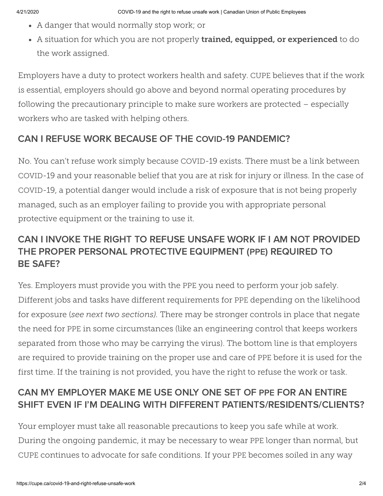- A danger that would normally stop work; or
- A situation for which you are not properly **trained, equipped, or experienced** to do the work assigned.

Employers have a duty to protect workers health and safety. CUPE believes that if the work is essential, employers should go above and beyond normal operating procedures by following the precautionary principle to make sure workers are protected – especially workers who are tasked with helping others.

#### CAN I REFUSE WORK BECAUSE OF THE COVID-19 PANDEMIC?

No. You can't refuse work simply because COVID-19 exists. There must be a link between COVID-19 and your reasonable belief that you are at risk for injury or illness. In the case of COVID-19, a potential danger would include a risk of exposure that is not being properly managed, such as an employer failing to provide you with appropriate personal protective equipment or the training to use it.

# CAN I INVOKE THE RIGHT TO REFUSE UNSAFE WORK IF I AM NOT PROVIDED THE PROPER PERSONAL PROTECTIVE EQUIPMENT (PPE) REQUIRED TO BE SAFE?

Yes. Employers must provide you with the PPE you need to perform your job safely. Different jobs and tasks have different requirements for PPE depending on the likelihood for exposure (*see next two sections).* There may be stronger controls in place that negate the need for PPE in some circumstances (like an engineering control that keeps workers separated from those who may be carrying the virus). The bottom line is that employers are required to provide training on the proper use and care of PPE before it is used for the first time. If the training is not provided, you have the right to refuse the work or task.

# CAN MY EMPLOYER MAKE ME USE ONLY ONE SET OF PPE FOR AN ENTIRE SHIFT EVEN IF I'M DEALING WITH DIFFERENT PATIENTS/RESIDENTS/CLIENTS?

Your employer must take all reasonable precautions to keep you safe while at work. During the ongoing pandemic, it may be necessary to wear PPE longer than normal, but CUPE continues to advocate for safe conditions. If your PPE becomes soiled in any way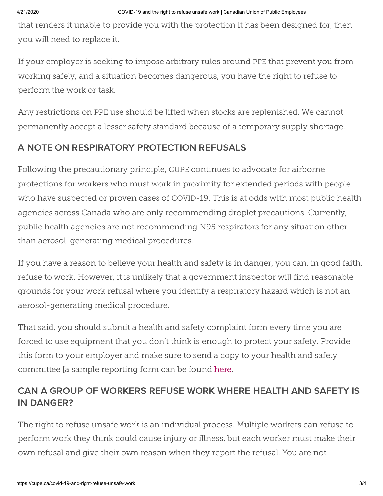that renders it unable to provide you with the protection it has been designed for, then you will need to replace it.

If your employer is seeking to impose arbitrary rules around PPE that prevent you from working safely, and a situation becomes dangerous, you have the right to refuse to perform the work or task.

Any restrictions on PPE use should be lifted when stocks are replenished. We cannot permanently accept a lesser safety standard because of a temporary supply shortage.

#### A NOTE ON RESPIRATORY PROTECTION REFUSALS

Following the precautionary principle, CUPE continues to advocate for airborne protections for workers who must work in proximity for extended periods with people who have suspected or proven cases of COVID-19. This is at odds with most public health agencies across Canada who are only recommending droplet precautions. Currently, public health agencies are not recommending N95 respirators for any situation other than aerosol-generating medical procedures.

If you have a reason to believe your health and safety is in danger, you can, in good faith, refuse to work. However, it is unlikely that a government inspector will find reasonable grounds for your work refusal where you identify a respiratory hazard which is not an aerosol-generating medical procedure.

That said, you should submit a health and safety complaint form every time you are forced to use equipment that you don't think is enough to protect your safety. Provide this form to your employer and make sure to send a copy to your health and safety committee [a sample reporting form can be found [here](https://cupe.ca/sites/cupe/files/kit_committee_incident_reporting_form_2017_en_0.pdf).

# CAN A GROUP OF WORKERS REFUSE WORK WHERE HEALTH AND SAFETY IS IN DANGER?

The right to refuse unsafe work is an individual process. Multiple workers can refuse to perform work they think could cause injury or illness, but each worker must make their own refusal and give their own reason when they report the refusal. You are not